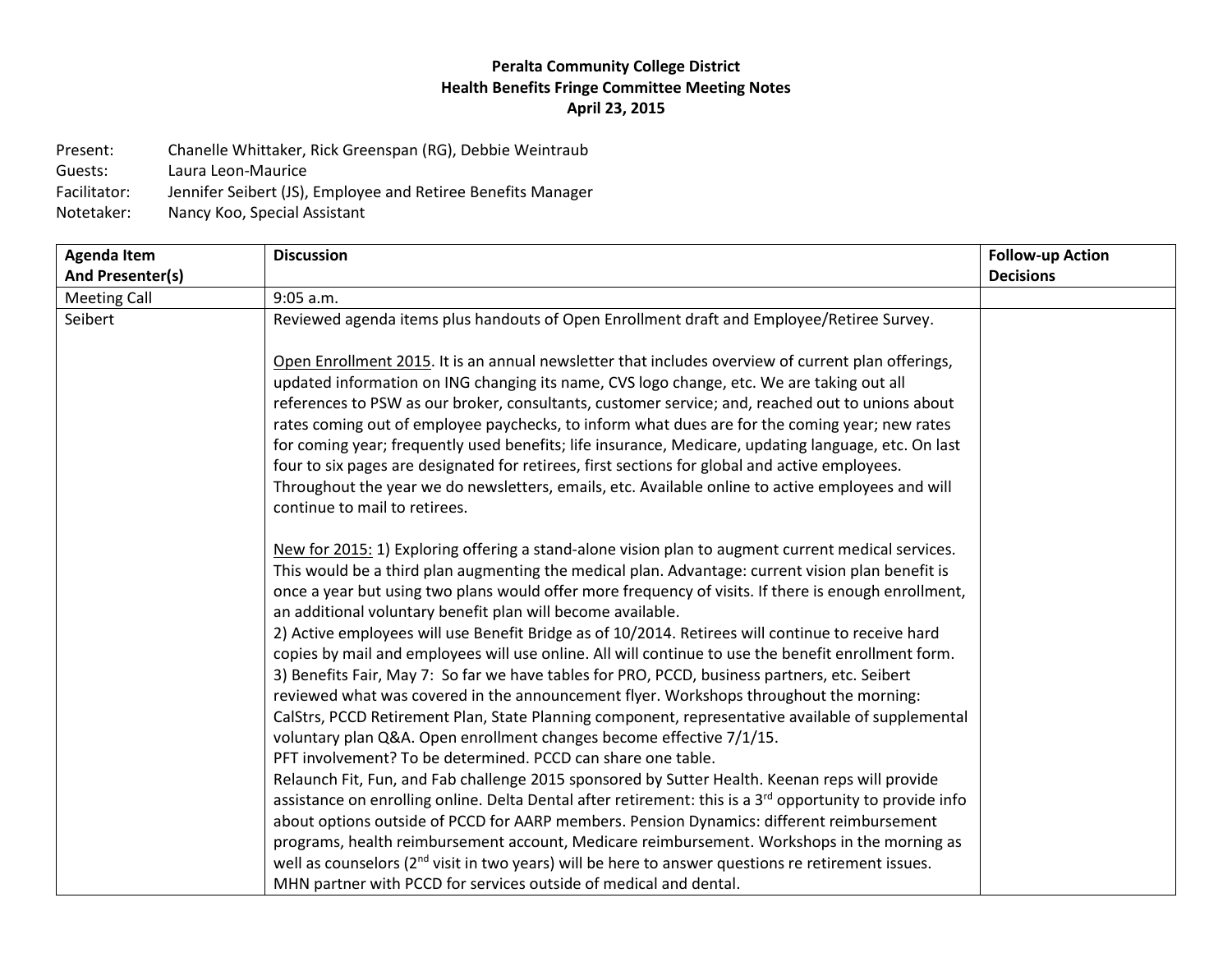## **Peralta Community College District Health Benefits Fringe Committee Meeting Notes April 23, 2015**

Present: Chanelle Whittaker, Rick Greenspan (RG), Debbie Weintraub<br>Guests: Laura Leon-Maurice

Guests: Laura Leon-Maurice<br>Facilitator: Jennifer Seibert (JS), Jennifer Seibert (JS), Employee and Retiree Benefits Manager

Notetaker: Nancy Koo, Special Assistant

| <b>Agenda Item</b>  | <b>Discussion</b>                                                                                                                                                                                                                                                                                                                                                                                                                                                                                                                                                                                                                                                                                                                                                                                                                                                                                                                                                                                                                                                                                                                                                                                                                                                                                                                                                                                                                                                                                                                                                                                                                               | <b>Follow-up Action</b> |
|---------------------|-------------------------------------------------------------------------------------------------------------------------------------------------------------------------------------------------------------------------------------------------------------------------------------------------------------------------------------------------------------------------------------------------------------------------------------------------------------------------------------------------------------------------------------------------------------------------------------------------------------------------------------------------------------------------------------------------------------------------------------------------------------------------------------------------------------------------------------------------------------------------------------------------------------------------------------------------------------------------------------------------------------------------------------------------------------------------------------------------------------------------------------------------------------------------------------------------------------------------------------------------------------------------------------------------------------------------------------------------------------------------------------------------------------------------------------------------------------------------------------------------------------------------------------------------------------------------------------------------------------------------------------------------|-------------------------|
| And Presenter(s)    |                                                                                                                                                                                                                                                                                                                                                                                                                                                                                                                                                                                                                                                                                                                                                                                                                                                                                                                                                                                                                                                                                                                                                                                                                                                                                                                                                                                                                                                                                                                                                                                                                                                 | <b>Decisions</b>        |
| <b>Meeting Call</b> | $9:05$ a.m.                                                                                                                                                                                                                                                                                                                                                                                                                                                                                                                                                                                                                                                                                                                                                                                                                                                                                                                                                                                                                                                                                                                                                                                                                                                                                                                                                                                                                                                                                                                                                                                                                                     |                         |
| Seibert             | Reviewed agenda items plus handouts of Open Enrollment draft and Employee/Retiree Survey.                                                                                                                                                                                                                                                                                                                                                                                                                                                                                                                                                                                                                                                                                                                                                                                                                                                                                                                                                                                                                                                                                                                                                                                                                                                                                                                                                                                                                                                                                                                                                       |                         |
|                     | Open Enrollment 2015. It is an annual newsletter that includes overview of current plan offerings,<br>updated information on ING changing its name, CVS logo change, etc. We are taking out all<br>references to PSW as our broker, consultants, customer service; and, reached out to unions about<br>rates coming out of employee paychecks, to inform what dues are for the coming year; new rates<br>for coming year; frequently used benefits; life insurance, Medicare, updating language, etc. On last<br>four to six pages are designated for retirees, first sections for global and active employees.<br>Throughout the year we do newsletters, emails, etc. Available online to active employees and will<br>continue to mail to retirees.                                                                                                                                                                                                                                                                                                                                                                                                                                                                                                                                                                                                                                                                                                                                                                                                                                                                                           |                         |
|                     | New for 2015: 1) Exploring offering a stand-alone vision plan to augment current medical services.<br>This would be a third plan augmenting the medical plan. Advantage: current vision plan benefit is<br>once a year but using two plans would offer more frequency of visits. If there is enough enrollment,<br>an additional voluntary benefit plan will become available.<br>2) Active employees will use Benefit Bridge as of 10/2014. Retirees will continue to receive hard<br>copies by mail and employees will use online. All will continue to use the benefit enrollment form.<br>3) Benefits Fair, May 7: So far we have tables for PRO, PCCD, business partners, etc. Seibert<br>reviewed what was covered in the announcement flyer. Workshops throughout the morning:<br>CalStrs, PCCD Retirement Plan, State Planning component, representative available of supplemental<br>voluntary plan Q&A. Open enrollment changes become effective 7/1/15.<br>PFT involvement? To be determined. PCCD can share one table.<br>Relaunch Fit, Fun, and Fab challenge 2015 sponsored by Sutter Health. Keenan reps will provide<br>assistance on enrolling online. Delta Dental after retirement: this is a 3 <sup>rd</sup> opportunity to provide info<br>about options outside of PCCD for AARP members. Pension Dynamics: different reimbursement<br>programs, health reimbursement account, Medicare reimbursement. Workshops in the morning as<br>well as counselors (2 <sup>nd</sup> visit in two years) will be here to answer questions re retirement issues.<br>MHN partner with PCCD for services outside of medical and dental. |                         |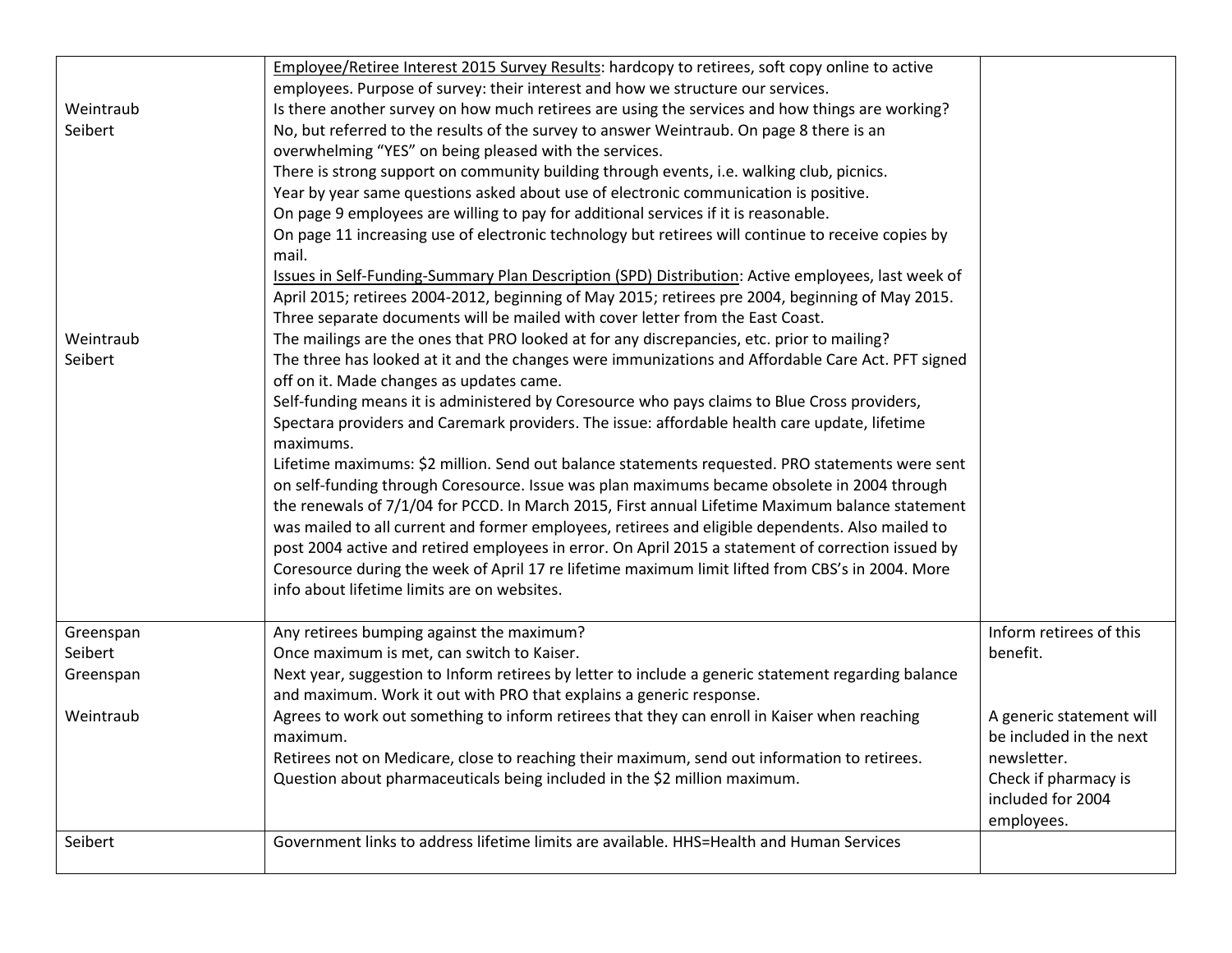|           | <b>Employee/Retiree Interest 2015 Survey Results: hardcopy to retirees, soft copy online to active</b>      |                          |
|-----------|-------------------------------------------------------------------------------------------------------------|--------------------------|
|           | employees. Purpose of survey: their interest and how we structure our services.                             |                          |
| Weintraub | Is there another survey on how much retirees are using the services and how things are working?             |                          |
| Seibert   | No, but referred to the results of the survey to answer Weintraub. On page 8 there is an                    |                          |
|           | overwhelming "YES" on being pleased with the services.                                                      |                          |
|           | There is strong support on community building through events, i.e. walking club, picnics.                   |                          |
|           | Year by year same questions asked about use of electronic communication is positive.                        |                          |
|           | On page 9 employees are willing to pay for additional services if it is reasonable.                         |                          |
|           | On page 11 increasing use of electronic technology but retirees will continue to receive copies by<br>mail. |                          |
|           | Issues in Self-Funding-Summary Plan Description (SPD) Distribution: Active employees, last week of          |                          |
|           | April 2015; retirees 2004-2012, beginning of May 2015; retirees pre 2004, beginning of May 2015.            |                          |
|           | Three separate documents will be mailed with cover letter from the East Coast.                              |                          |
| Weintraub | The mailings are the ones that PRO looked at for any discrepancies, etc. prior to mailing?                  |                          |
| Seibert   | The three has looked at it and the changes were immunizations and Affordable Care Act. PFT signed           |                          |
|           | off on it. Made changes as updates came.                                                                    |                          |
|           | Self-funding means it is administered by Coresource who pays claims to Blue Cross providers,                |                          |
|           | Spectara providers and Caremark providers. The issue: affordable health care update, lifetime               |                          |
|           | maximums.                                                                                                   |                          |
|           | Lifetime maximums: \$2 million. Send out balance statements requested. PRO statements were sent             |                          |
|           | on self-funding through Coresource. Issue was plan maximums became obsolete in 2004 through                 |                          |
|           | the renewals of 7/1/04 for PCCD. In March 2015, First annual Lifetime Maximum balance statement             |                          |
|           | was mailed to all current and former employees, retirees and eligible dependents. Also mailed to            |                          |
|           | post 2004 active and retired employees in error. On April 2015 a statement of correction issued by          |                          |
|           | Coresource during the week of April 17 re lifetime maximum limit lifted from CBS's in 2004. More            |                          |
|           | info about lifetime limits are on websites.                                                                 |                          |
|           |                                                                                                             |                          |
| Greenspan | Any retirees bumping against the maximum?                                                                   | Inform retirees of this  |
| Seibert   | Once maximum is met, can switch to Kaiser.                                                                  | benefit.                 |
| Greenspan | Next year, suggestion to Inform retirees by letter to include a generic statement regarding balance         |                          |
|           | and maximum. Work it out with PRO that explains a generic response.                                         |                          |
| Weintraub | Agrees to work out something to inform retirees that they can enroll in Kaiser when reaching                | A generic statement will |
|           | maximum.                                                                                                    | be included in the next  |
|           | Retirees not on Medicare, close to reaching their maximum, send out information to retirees.                | newsletter.              |
|           | Question about pharmaceuticals being included in the \$2 million maximum.                                   | Check if pharmacy is     |
|           |                                                                                                             | included for 2004        |
|           |                                                                                                             | employees.               |
| Seibert   | Government links to address lifetime limits are available. HHS=Health and Human Services                    |                          |
|           |                                                                                                             |                          |